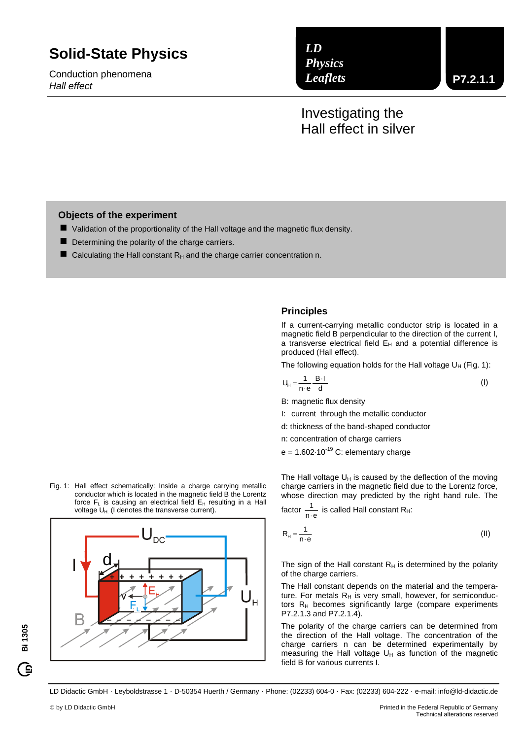# **Solid-State Physics**

Conduction phenomena *Hall effect*

*LD Physics Leaflets*

## Investigating the Hall effect in silver

## **Objects of the experiment**

- Validation of the proportionality of the Hall voltage and the magnetic flux density.
- Determining the polarity of the charge carriers.
- Calculating the Hall constant  $R_H$  and the charge carrier concentration n.

## **Principles**

If a current-carrying metallic conductor strip is located in a magnetic field B perpendicular to the direction of the current I, a transverse electrical field  $E_H$  and a potential difference is produced (Hall effect).

The following equation holds for the Hall voltage  $U_H$  (Fig. 1):

$$
U_H = \frac{1}{n \cdot e} \frac{B \cdot I}{d} \tag{I}
$$

B: magnetic flux density

- I: current through the metallic conductor
- d: thickness of the band-shaped conductor
- n: concentration of charge carriers

 $e = 1.602 \cdot 10^{-19}$  C: elementary charge

The Hall voltage  $U_H$  is caused by the deflection of the moving charge carriers in the magnetic field due to the Lorentz force, whose direction may predicted by the right hand rule. The

factor  $\frac{1}{n \cdot e}$ 1  $\frac{1}{10}$  is called Hall constant R<sub>H</sub>:

n e  $R_H = \frac{1}{n}$ (II)

The sign of the Hall constant  $R_H$  is determined by the polarity of the charge carriers.

The Hall constant depends on the material and the temperature. For metals  $R_H$  is very small, however, for semiconductors  $R_H$  becomes significantly large (compare experiments P7.2.1.3 and P7.2.1.4).

The polarity of the charge carriers can be determined from the direction of the Hall voltage. The concentration of the charge carriers n can be determined experimentally by measuring the Hall voltage  $U_H$  as function of the magnetic field B for various currents I.

LD Didactic GmbH Leyboldstrasse 1 D-50354 Huerth / Germany Phone: (02233) 604-0 Fax: (02233) 604-222 e-mail: info@ld-didactic.de

**Bi 1305**

<u>ିକ</u>



Fig. 1: Hall effect schematically: Inside a charge carrying metallic conductor which is located in the magnetic field B the Lorentz force  $F_L$  is causing an electrical field  $E_H$  resulting in a Hall voltage  $U_{H}$ . (I denotes the transverse current).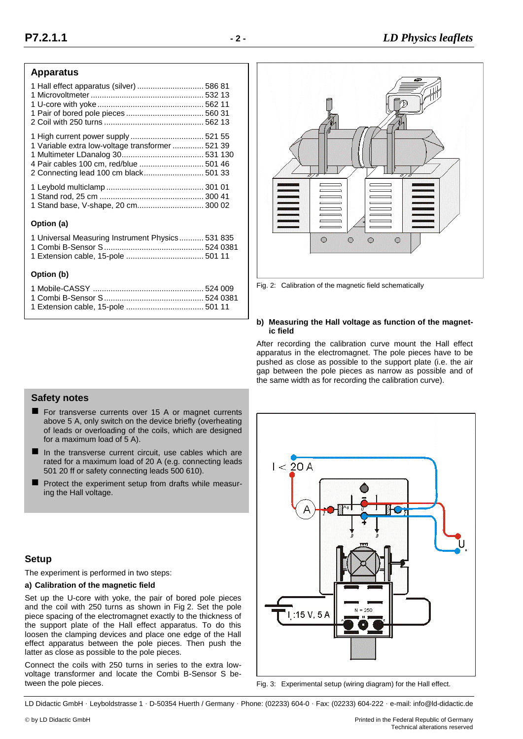## **Apparatus**

| 1 Variable extra low-voltage transformer  521 39 |  |
|--------------------------------------------------|--|
|                                                  |  |
| 4 Pair cables 100 cm, red/blue  501 46           |  |
| 2 Connecting lead 100 cm black 501 33            |  |
|                                                  |  |
|                                                  |  |
| 1 Stand base, V-shape, 20 cm 300 02              |  |
| Option (a)                                       |  |
|                                                  |  |

| 1 Universal Measuring Instrument Physics 531 835 |  |
|--------------------------------------------------|--|
|                                                  |  |
|                                                  |  |

## **Option (b)**



Fig. 2: Calibration of the magnetic field schematically

#### **b) Measuring the Hall voltage as function of the magnetic field**

After recording the calibration curve mount the Hall effect apparatus in the electromagnet. The pole pieces have to be pushed as close as possible to the support plate (i.e. the air gap between the pole pieces as narrow as possible and of the same width as for recording the calibration curve).

## **Safety notes**

- **For transverse currents over 15 A or magnet currents** above 5 A, only switch on the device briefly (overheating of leads or overloading of the coils, which are designed for a maximum load of 5 A).
- $\blacksquare$  In the transverse current circuit, use cables which are rated for a maximum load of 20 A (e.g. connecting leads 501 20 ff or safety connecting leads 500 610).
- Protect the experiment setup from drafts while measuring the Hall voltage.

## **Setup**

The experiment is performed in two steps:

## **a) Calibration of the magnetic field**

Set up the U-core with yoke, the pair of bored pole pieces and the coil with 250 turns as shown in Fig 2. Set the pole piece spacing of the electromagnet exactly to the thickness of the support plate of the Hall effect apparatus. To do this loosen the clamping devices and place one edge of the Hall effect apparatus between the pole pieces. Then push the latter as close as possible to the pole pieces.

Connect the coils with 250 turns in series to the extra lowvoltage transformer and locate the Combi B-Sensor S between the pole pieces.



Fig. 3: Experimental setup (wiring diagram) for the Hall effect.

LD Didactic GmbH Leyboldstrasse 1 D-50354 Huerth / Germany Phone: (02233) 604-0 Fax: (02233) 604-222 e-mail: info@ld-didactic.de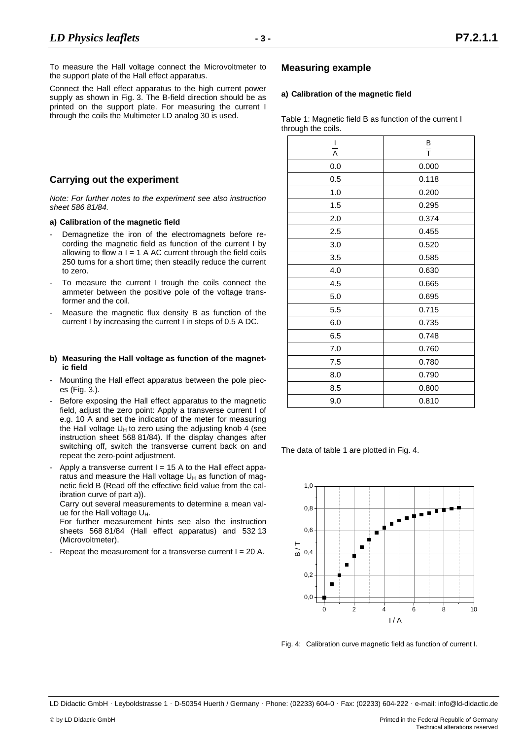Connect the Hall effect apparatus to the high current power supply as shown in Fig. 3. The B-field direction should be as printed on the support plate. For measuring the current I through the coils the Multimeter LD analog 30 is used.

## **Carrying out the experiment**

*Note: For further notes to the experiment see also instruction sheet 586 81/84.*

#### **a) Calibration of the magnetic field**

- Demagnetize the iron of the electromagnets before recording the magnetic field as function of the current I by allowing to flow  $a I = 1$  A AC current through the field coils 250 turns for a short time; then steadily reduce the current to zero.
- To measure the current I trough the coils connect the ammeter between the positive pole of the voltage transformer and the coil.
- Measure the magnetic flux density B as function of the current I by increasing the current I in steps of 0.5 A DC.

#### **b) Measuring the Hall voltage as function of the magnetic field**

- Mounting the Hall effect apparatus between the pole pieces (Fig. 3.).
- Before exposing the Hall effect apparatus to the magnetic field, adjust the zero point: Apply a transverse current I of e.g. 10 A and set the indicator of the meter for measuring the Hall voltage  $U_H$  to zero using the adjusting knob 4 (see instruction sheet 568 81/84). If the display changes after switching off, switch the transverse current back on and repeat the zero-point adjustment.
- Apply a transverse current  $I = 15$  A to the Hall effect apparatus and measure the Hall voltage  $U_H$  as function of magnetic field B (Read off the effective field value from the calibration curve of part a)).

Carry out several measurements to determine a mean value for the Hall voltage U<sub>H</sub>.

For further measurement hints see also the instruction sheets 568 81/84 (Hall effect apparatus) and 532 13 (Microvoltmeter).

Repeat the measurement for a transverse current  $I = 20$  A.

## **Measuring example**

## **a) Calibration of the magnetic field**

Table 1: Magnetic field B as function of the current I through the coils.

| T<br>A | $\frac{B}{T}$ |  |
|--------|---------------|--|
| 0.0    | 0.000         |  |
| 0.5    | 0.118         |  |
| 1.0    | 0.200         |  |
| 1.5    | 0.295         |  |
| 2.0    | 0.374         |  |
| 2.5    | 0.455         |  |
| 3.0    | 0.520         |  |
| 3.5    | 0.585         |  |
| 4.0    | 0.630         |  |
| 4.5    | 0.665         |  |
| 5.0    | 0.695         |  |
| 5.5    | 0.715         |  |
| 6.0    | 0.735         |  |
| 6.5    | 0.748         |  |
| 7.0    | 0.760         |  |
| 7.5    | 0.780         |  |
| 8.0    | 0.790         |  |
| 8.5    | 0.800         |  |
| 9.0    | 0.810         |  |

The data of table 1 are plotted in Fig. 4.



Fig. 4: Calibration curve magnetic field as function of current I.

LD Didactic GmbH · Leyboldstrasse 1 · D-50354 Huerth / Germany · Phone: (02233) 604-0 · Fax: (02233) 604-222 · e-mail: info@ld-didactic.de